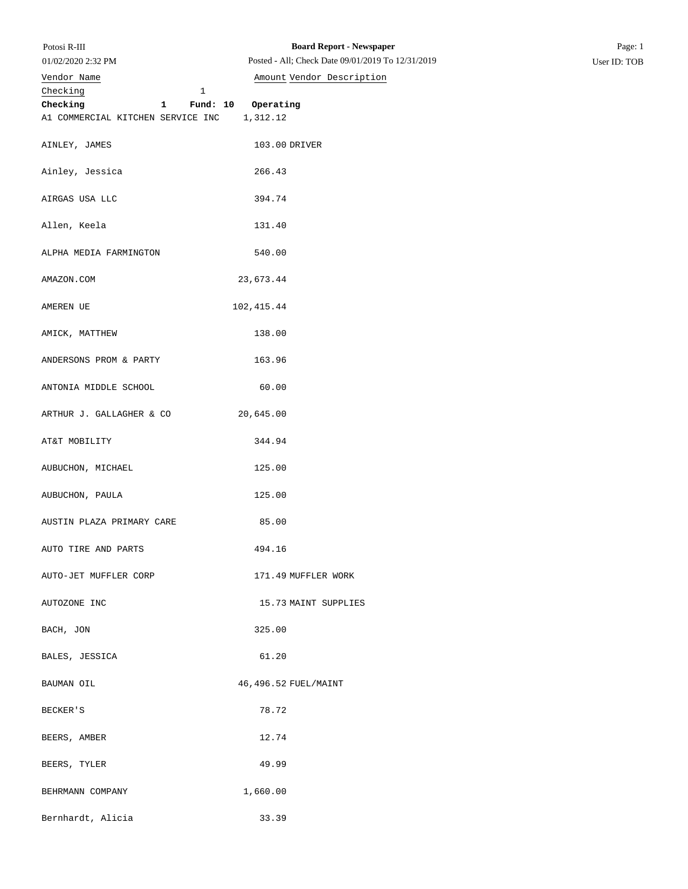01/02/2020 2:32 PM

## Checking 1 **Checking 1 Fund: 10 Operating** A1 COMMERCIAL KITCHEN SERVICE INC 1,312.12 AINLEY, JAMES 103.00 DRIVER Ainley, Jessica 266.43 AIRGAS USA LLC 394.74 Allen, Keela 131.40 ALPHA MEDIA FARMINGTON 540.00 AMAZON.COM 23,673.44 AMEREN UE 102,415.44 AMICK, MATTHEW 138.00 ANDERSONS PROM & PARTY 163.96 ANTONIA MIDDLE SCHOOL 60.00 ARTHUR J. GALLAGHER & CO 20,645.00 AT&T MOBILITY 344.94 AUBUCHON, MICHAEL 125.00 AUBUCHON, PAULA 125.00 AUSTIN PLAZA PRIMARY CARE 85.00 AUTO TIRE AND PARTS 494.16 AUTO-JET MUFFLER CORP 171.49 MUFFLER WORK AUTOZONE INC 15.73 MAINT SUPPLIES BACH, JON 325.00 BALES, JESSICA 61.20 BAUMAN OIL  $46,496.52$  FUEL/MAINT BECKER'S 78.72 BEERS, AMBER 12.74 BEERS, TYLER 49.99 BEHRMANN COMPANY 1,660.00 Posted - All; Check Date 09/01/2019 To 12/31/2019 User ID: TOB Vendor Name **Amount** Vendor Description

Bernhardt, Alicia 33.39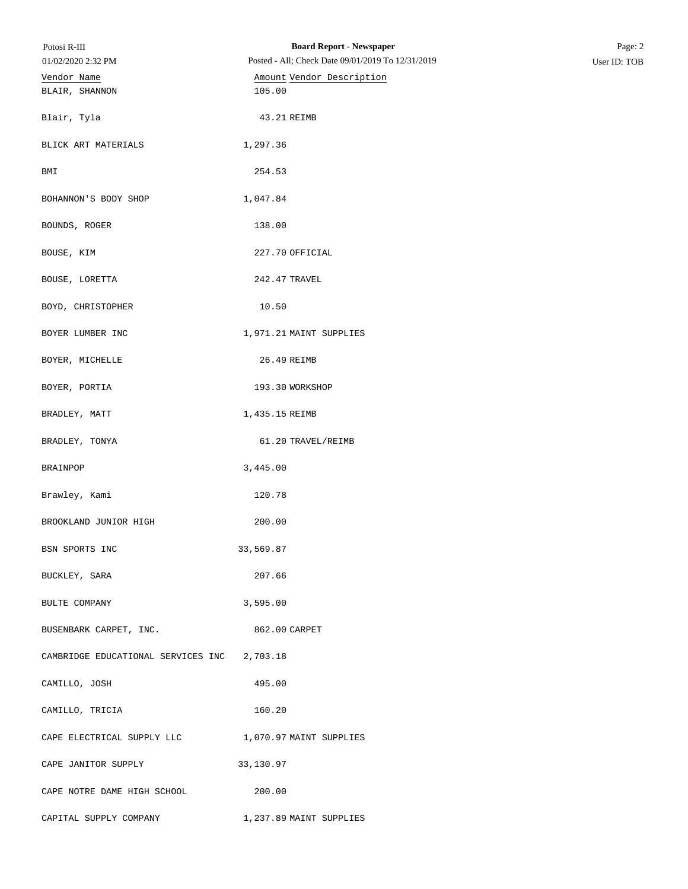| Potosi R-III<br>01/02/2020 2:32 PM                 | <b>Board Report - Newspaper</b><br>Posted - All; Check Date 09/01/2019 To 12/31/2019 | Page: 2<br>User ID: TOB |
|----------------------------------------------------|--------------------------------------------------------------------------------------|-------------------------|
| Vendor Name<br>BLAIR, SHANNON                      | Amount Vendor Description<br>105.00                                                  |                         |
| Blair, Tyla                                        | 43.21 REIMB                                                                          |                         |
| BLICK ART MATERIALS                                | 1,297.36                                                                             |                         |
| BMI                                                | 254.53                                                                               |                         |
| BOHANNON'S BODY SHOP                               | 1,047.84                                                                             |                         |
| BOUNDS, ROGER                                      | 138.00                                                                               |                         |
| BOUSE, KIM                                         | 227.70 OFFICIAL                                                                      |                         |
| BOUSE, LORETTA                                     | 242.47 TRAVEL                                                                        |                         |
| BOYD, CHRISTOPHER                                  | 10.50                                                                                |                         |
| BOYER LUMBER INC                                   | 1,971.21 MAINT SUPPLIES                                                              |                         |
| BOYER, MICHELLE                                    | 26.49 REIMB                                                                          |                         |
| BOYER, PORTIA                                      | 193.30 WORKSHOP                                                                      |                         |
| BRADLEY, MATT                                      | 1,435.15 REIMB                                                                       |                         |
| BRADLEY, TONYA                                     | 61.20 TRAVEL/REIMB                                                                   |                         |
| BRAINPOP                                           | 3,445.00                                                                             |                         |
| Brawley, Kami                                      | 120.78                                                                               |                         |
| BROOKLAND JUNIOR HIGH                              | 200.00                                                                               |                         |
| BSN SPORTS INC                                     | 33,569.87                                                                            |                         |
| BUCKLEY, SARA                                      | 207.66                                                                               |                         |
| BULTE COMPANY                                      | 3,595.00                                                                             |                         |
| BUSENBARK CARPET, INC.                             | 862.00 CARPET                                                                        |                         |
| CAMBRIDGE EDUCATIONAL SERVICES INC 2,703.18        |                                                                                      |                         |
| CAMILLO, JOSH                                      | 495.00                                                                               |                         |
| CAMILLO, TRICIA                                    | 160.20                                                                               |                         |
| CAPE ELECTRICAL SUPPLY LLC 1,070.97 MAINT SUPPLIES |                                                                                      |                         |
| CAPE JANITOR SUPPLY                                | 33,130.97                                                                            |                         |
| CAPE NOTRE DAME HIGH SCHOOL                        | 200.00                                                                               |                         |
| CAPITAL SUPPLY COMPANY                             | 1,237.89 MAINT SUPPLIES                                                              |                         |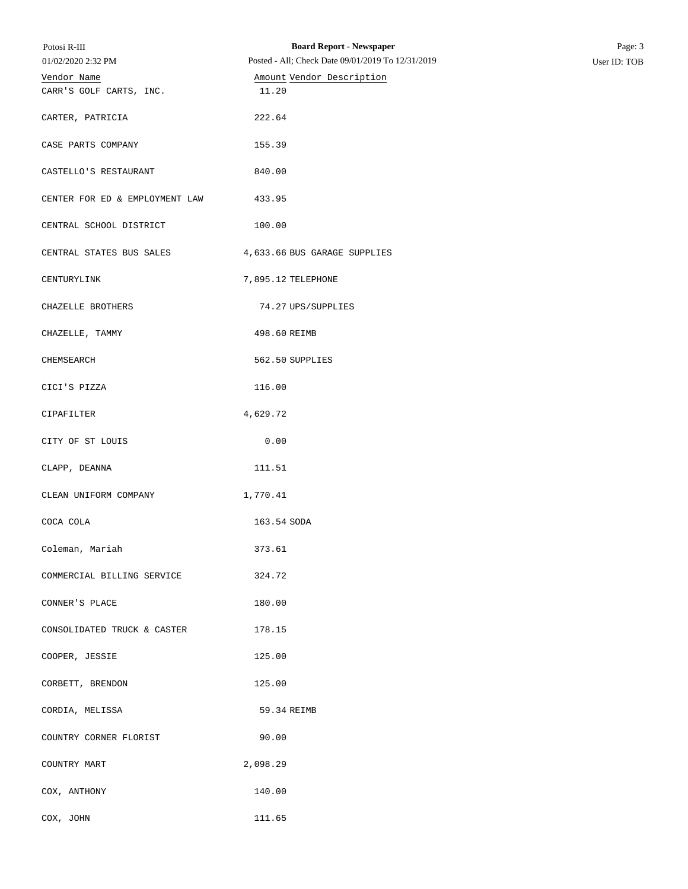| Potosi R-III<br>01/02/2020 2:32 PM     | <b>Board Report - Newspaper</b><br>Posted - All; Check Date 09/01/2019 To 12/31/2019 | Page: 3<br>User ID: TOB |
|----------------------------------------|--------------------------------------------------------------------------------------|-------------------------|
| Vendor Name<br>CARR'S GOLF CARTS, INC. | Amount Vendor Description<br>11.20                                                   |                         |
| CARTER, PATRICIA                       | 222.64                                                                               |                         |
|                                        | 155.39                                                                               |                         |
| CASE PARTS COMPANY                     |                                                                                      |                         |
| CASTELLO'S RESTAURANT                  | 840.00                                                                               |                         |
| CENTER FOR ED & EMPLOYMENT LAW         | 433.95                                                                               |                         |
| CENTRAL SCHOOL DISTRICT                | 100.00                                                                               |                         |
| CENTRAL STATES BUS SALES               | 4,633.66 BUS GARAGE SUPPLIES                                                         |                         |
| CENTURYLINK                            | 7,895.12 TELEPHONE                                                                   |                         |
| CHAZELLE BROTHERS                      | 74.27 UPS/SUPPLIES                                                                   |                         |
| CHAZELLE, TAMMY                        | 498.60 REIMB                                                                         |                         |
| CHEMSEARCH                             | 562.50 SUPPLIES                                                                      |                         |
| CICI'S PIZZA                           | 116.00                                                                               |                         |
| CIPAFILTER                             | 4,629.72                                                                             |                         |
| CITY OF ST LOUIS                       | 0.00                                                                                 |                         |
| CLAPP, DEANNA                          | 111.51                                                                               |                         |
| CLEAN UNIFORM COMPANY                  | 1,770.41                                                                             |                         |
| COCA COLA                              | 163.54 SODA                                                                          |                         |
| Coleman, Mariah                        | 373.61                                                                               |                         |
| COMMERCIAL BILLING SERVICE             | 324.72                                                                               |                         |
| CONNER'S PLACE                         | 180.00                                                                               |                         |
| CONSOLIDATED TRUCK & CASTER            | 178.15                                                                               |                         |
| COOPER, JESSIE                         | 125.00                                                                               |                         |
| CORBETT, BRENDON                       | 125.00                                                                               |                         |
| CORDIA, MELISSA                        | 59.34 REIMB                                                                          |                         |
| COUNTRY CORNER FLORIST                 | 90.00                                                                                |                         |
| COUNTRY MART                           | 2,098.29                                                                             |                         |
| COX, ANTHONY                           | 140.00                                                                               |                         |
| COX, JOHN                              | 111.65                                                                               |                         |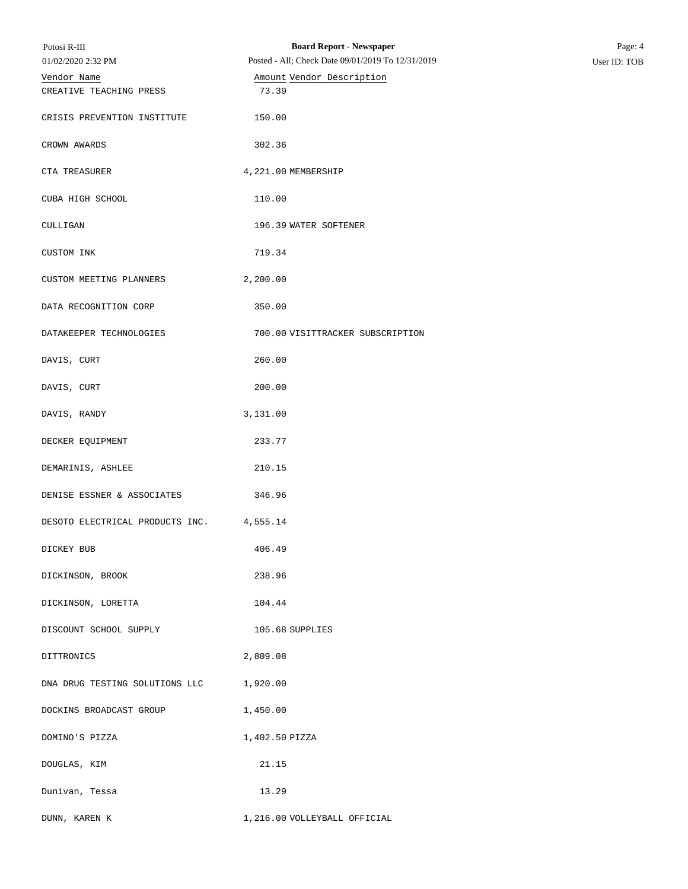| Potosi R-III                             | <b>Board Report - Newspaper</b>                   | Page: 4      |
|------------------------------------------|---------------------------------------------------|--------------|
| 01/02/2020 2:32 PM                       | Posted - All; Check Date 09/01/2019 To 12/31/2019 | User ID: TOB |
| Vendor Name                              | Amount Vendor Description                         |              |
| CREATIVE TEACHING PRESS                  | 73.39                                             |              |
| CRISIS PREVENTION INSTITUTE              | 150.00                                            |              |
| CROWN AWARDS                             | 302.36                                            |              |
| CTA TREASURER                            | 4, 221.00 MEMBERSHIP                              |              |
| CUBA HIGH SCHOOL                         | 110.00                                            |              |
| CULLIGAN                                 | 196.39 WATER SOFTENER                             |              |
| CUSTOM INK                               | 719.34                                            |              |
| CUSTOM MEETING PLANNERS                  | 2,200.00                                          |              |
| DATA RECOGNITION CORP                    | 350.00                                            |              |
| DATAKEEPER TECHNOLOGIES                  | 700.00 VISITTRACKER SUBSCRIPTION                  |              |
| DAVIS, CURT                              | 260.00                                            |              |
| DAVIS, CURT                              | 200.00                                            |              |
| DAVIS, RANDY                             | 3,131.00                                          |              |
| DECKER EQUIPMENT                         | 233.77                                            |              |
| DEMARINIS, ASHLEE                        | 210.15                                            |              |
| DENISE ESSNER & ASSOCIATES               | 346.96                                            |              |
| DESOTO ELECTRICAL PRODUCTS INC. 4,555.14 |                                                   |              |
| DICKEY BUB                               | 406.49                                            |              |
| DICKINSON, BROOK                         | 238.96                                            |              |
| DICKINSON, LORETTA                       | 104.44                                            |              |
| DISCOUNT SCHOOL SUPPLY                   | 105.68 SUPPLIES                                   |              |
| DITTRONICS                               | 2,809.08                                          |              |
| DNA DRUG TESTING SOLUTIONS LLC           | 1,920.00                                          |              |
| DOCKINS BROADCAST GROUP                  | 1,450.00                                          |              |
| DOMINO'S PIZZA                           | 1,402.50 PIZZA                                    |              |
| DOUGLAS, KIM                             | 21.15                                             |              |
| Dunivan, Tessa                           | 13.29                                             |              |
| DUNN, KAREN K                            | 1,216.00 VOLLEYBALL OFFICIAL                      |              |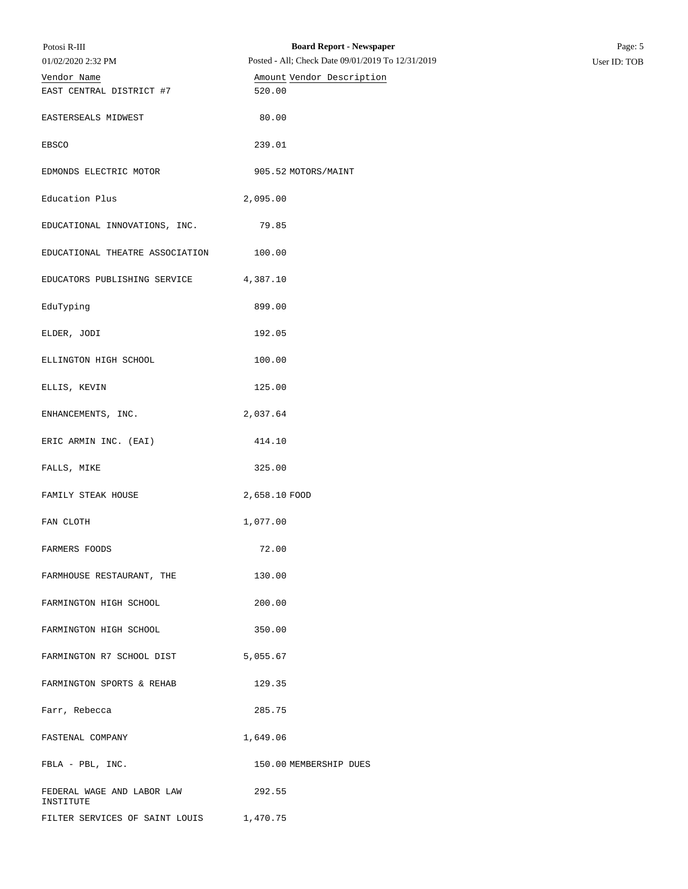| Potosi R-III                            | <b>Board Report - Newspaper</b>                   | Page: 5      |
|-----------------------------------------|---------------------------------------------------|--------------|
| 01/02/2020 2:32 PM                      | Posted - All; Check Date 09/01/2019 To 12/31/2019 | User ID: TOB |
| Vendor Name<br>EAST CENTRAL DISTRICT #7 | Amount Vendor Description<br>520.00               |              |
| EASTERSEALS MIDWEST                     | 80.00                                             |              |
| EBSCO                                   | 239.01                                            |              |
| EDMONDS ELECTRIC MOTOR                  | 905.52 MOTORS/MAINT                               |              |
| Education Plus                          | 2,095.00                                          |              |
| EDUCATIONAL INNOVATIONS, INC.           | 79.85                                             |              |
| EDUCATIONAL THEATRE ASSOCIATION         | 100.00                                            |              |
| EDUCATORS PUBLISHING SERVICE            | 4,387.10                                          |              |
| EduTyping                               | 899.00                                            |              |
| ELDER, JODI                             | 192.05                                            |              |
| ELLINGTON HIGH SCHOOL                   | 100.00                                            |              |
| ELLIS, KEVIN                            | 125.00                                            |              |
| ENHANCEMENTS, INC.                      | 2,037.64                                          |              |
| ERIC ARMIN INC. (EAI)                   | 414.10                                            |              |
| FALLS, MIKE                             | 325.00                                            |              |
| FAMILY STEAK HOUSE                      | 2,658.10 FOOD                                     |              |
| FAN CLOTH                               | 1,077.00                                          |              |
| FARMERS FOODS                           | 72.00                                             |              |
| FARMHOUSE RESTAURANT, THE               | 130.00                                            |              |
| FARMINGTON HIGH SCHOOL                  | 200.00                                            |              |
| FARMINGTON HIGH SCHOOL                  | 350.00                                            |              |
| FARMINGTON R7 SCHOOL DIST               | 5,055.67                                          |              |
| FARMINGTON SPORTS & REHAB               | 129.35                                            |              |
| Farr, Rebecca                           | 285.75                                            |              |
| FASTENAL COMPANY                        | 1,649.06                                          |              |
| $\texttt{FBLA - PBL, INC.}$             | 150.00 MEMBERSHIP DUES                            |              |
| FEDERAL WAGE AND LABOR LAW<br>INSTITUTE | 292.55                                            |              |
| FILTER SERVICES OF SAINT LOUIS          | 1,470.75                                          |              |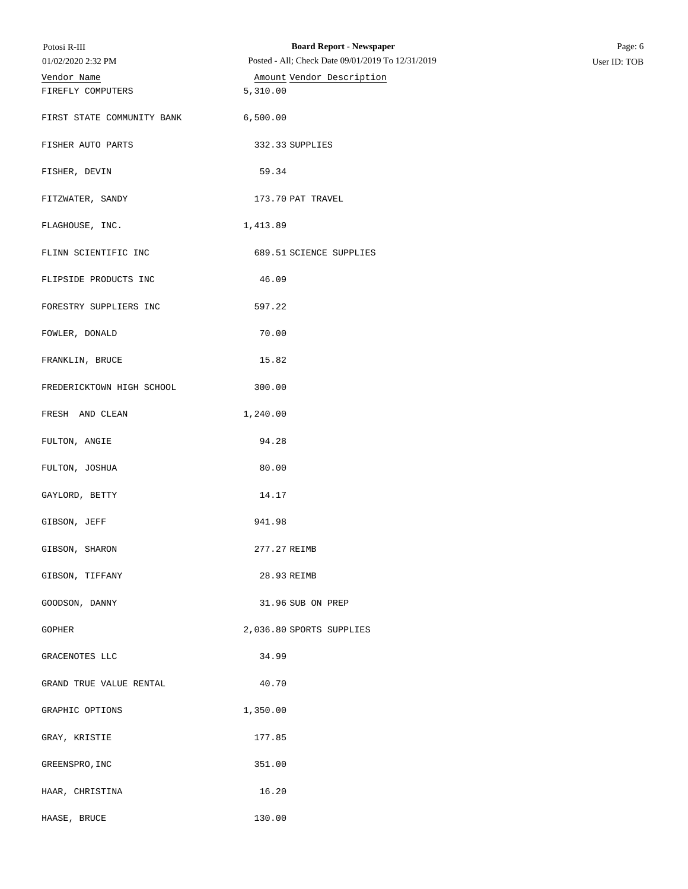| Potosi R-III               | <b>Board Report - Newspaper</b>                   | Page: 6      |
|----------------------------|---------------------------------------------------|--------------|
| 01/02/2020 2:32 PM         | Posted - All; Check Date 09/01/2019 To 12/31/2019 | User ID: TOB |
| Vendor Name                | Amount Vendor Description                         |              |
| FIREFLY COMPUTERS          | 5,310.00                                          |              |
| FIRST STATE COMMUNITY BANK | 6,500.00                                          |              |
| FISHER AUTO PARTS          | 332.33 SUPPLIES                                   |              |
| FISHER, DEVIN              | 59.34                                             |              |
| FITZWATER, SANDY           | 173.70 PAT TRAVEL                                 |              |
| FLAGHOUSE, INC.            | 1,413.89                                          |              |
| FLINN SCIENTIFIC INC       | 689.51 SCIENCE SUPPLIES                           |              |
| FLIPSIDE PRODUCTS INC      | 46.09                                             |              |
| FORESTRY SUPPLIERS INC     | 597.22                                            |              |
| FOWLER, DONALD             | 70.00                                             |              |
| FRANKLIN, BRUCE            | 15.82                                             |              |
| FREDERICKTOWN HIGH SCHOOL  | 300.00                                            |              |
| FRESH AND CLEAN            | 1,240.00                                          |              |
| FULTON, ANGIE              | 94.28                                             |              |
| FULTON, JOSHUA             | 80.00                                             |              |
| GAYLORD, BETTY             | 14.17                                             |              |
| GIBSON, JEFF               | 941.98                                            |              |
| GIBSON, SHARON             | 277.27 REIMB                                      |              |
| GIBSON, TIFFANY            | 28.93 REIMB                                       |              |
| GOODSON, DANNY             | 31.96 SUB ON PREP                                 |              |
| GOPHER                     | 2,036.80 SPORTS SUPPLIES                          |              |
| GRACENOTES LLC             | 34.99                                             |              |
| GRAND TRUE VALUE RENTAL    | 40.70                                             |              |
| GRAPHIC OPTIONS            | 1,350.00                                          |              |
| GRAY, KRISTIE              | 177.85                                            |              |
| GREENSPRO, INC             | 351.00                                            |              |
| HAAR, CHRISTINA            | 16.20                                             |              |
| HAASE, BRUCE               | 130.00                                            |              |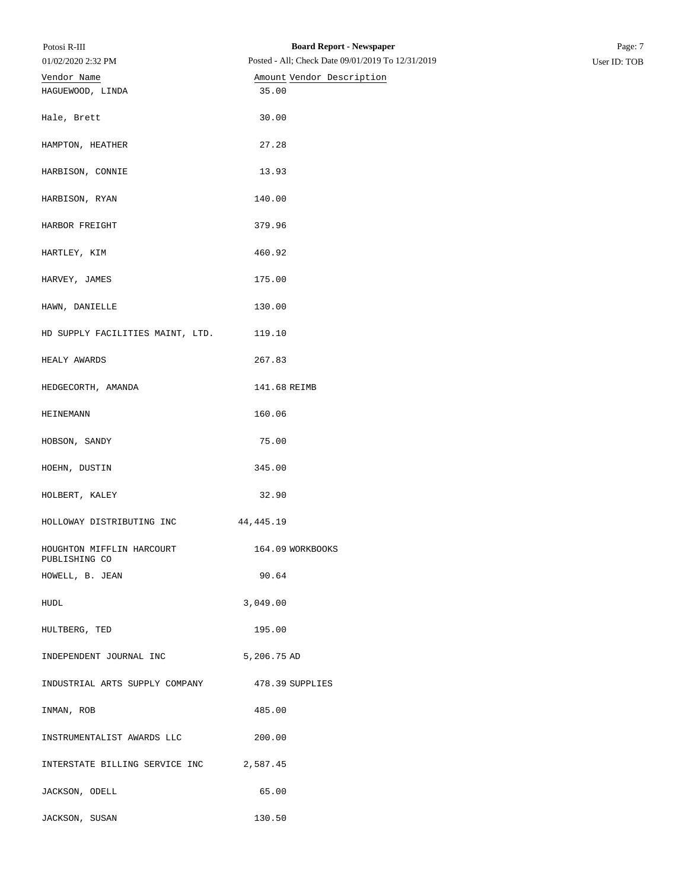| Potosi R-III<br>01/02/2020 2:32 PM         | <b>Board Report - Newspaper</b><br>Posted - All; Check Date 09/01/2019 To 12/31/2019 | Page: 7<br>User ID: TOB |
|--------------------------------------------|--------------------------------------------------------------------------------------|-------------------------|
| Vendor Name                                | Amount Vendor Description                                                            |                         |
| HAGUEWOOD, LINDA                           | 35.00                                                                                |                         |
| Hale, Brett                                | 30.00                                                                                |                         |
| HAMPTON, HEATHER                           | 27.28                                                                                |                         |
| HARBISON, CONNIE                           | 13.93                                                                                |                         |
| HARBISON, RYAN                             | 140.00                                                                               |                         |
| HARBOR FREIGHT                             | 379.96                                                                               |                         |
| HARTLEY, KIM                               | 460.92                                                                               |                         |
| HARVEY, JAMES                              | 175.00                                                                               |                         |
| HAWN, DANIELLE                             | 130.00                                                                               |                         |
| HD SUPPLY FACILITIES MAINT, LTD.           | 119.10                                                                               |                         |
| HEALY AWARDS                               | 267.83                                                                               |                         |
| HEDGECORTH, AMANDA                         | 141.68 REIMB                                                                         |                         |
| HEINEMANN                                  | 160.06                                                                               |                         |
| HOBSON, SANDY                              | 75.00                                                                                |                         |
| HOEHN, DUSTIN                              | 345.00                                                                               |                         |
| HOLBERT, KALEY                             | 32.90                                                                                |                         |
| HOLLOWAY DISTRIBUTING INC                  | 44, 445. 19                                                                          |                         |
| HOUGHTON MIFFLIN HARCOURT<br>PUBLISHING CO | 164.09 WORKBOOKS                                                                     |                         |
| HOWELL, B. JEAN                            | 90.64                                                                                |                         |
| HUDL                                       | 3,049.00                                                                             |                         |
| HULTBERG, TED                              | 195.00                                                                               |                         |
| INDEPENDENT JOURNAL INC                    | 5,206.75 AD                                                                          |                         |
| INDUSTRIAL ARTS SUPPLY COMPANY             | 478.39 SUPPLIES                                                                      |                         |
| INMAN, ROB                                 | 485.00                                                                               |                         |
| INSTRUMENTALIST AWARDS LLC                 | 200.00                                                                               |                         |
| INTERSTATE BILLING SERVICE INC             | 2,587.45                                                                             |                         |
| JACKSON, ODELL                             | 65.00                                                                                |                         |
| JACKSON, SUSAN                             | 130.50                                                                               |                         |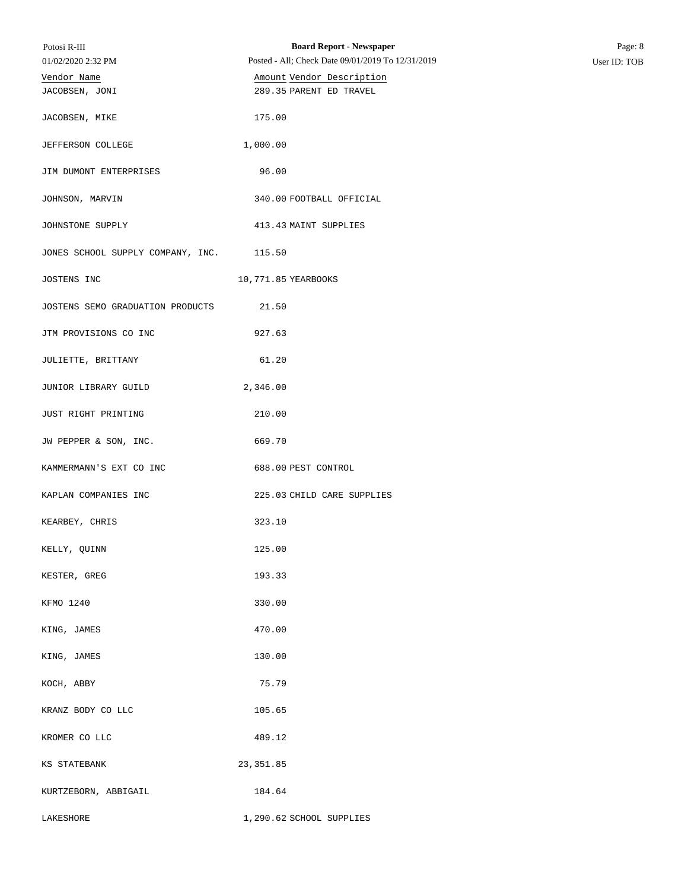| Potosi R-III                      | <b>Board Report - Newspaper</b>                   | Page: 8      |
|-----------------------------------|---------------------------------------------------|--------------|
| 01/02/2020 2:32 PM                | Posted - All; Check Date 09/01/2019 To 12/31/2019 | User ID: TOB |
| Vendor Name                       | Amount Vendor Description                         |              |
| JACOBSEN, JONI                    | 289.35 PARENT ED TRAVEL                           |              |
| JACOBSEN, MIKE                    | 175.00                                            |              |
| JEFFERSON COLLEGE                 | 1,000.00                                          |              |
| JIM DUMONT ENTERPRISES            | 96.00                                             |              |
| JOHNSON, MARVIN                   | 340.00 FOOTBALL OFFICIAL                          |              |
| JOHNSTONE SUPPLY                  | 413.43 MAINT SUPPLIES                             |              |
| JONES SCHOOL SUPPLY COMPANY, INC. | 115.50                                            |              |
| JOSTENS INC                       | 10,771.85 YEARBOOKS                               |              |
| JOSTENS SEMO GRADUATION PRODUCTS  | 21.50                                             |              |
| JTM PROVISIONS CO INC             | 927.63                                            |              |
| JULIETTE, BRITTANY                | 61.20                                             |              |
| JUNIOR LIBRARY GUILD              | 2,346.00                                          |              |
| JUST RIGHT PRINTING               | 210.00                                            |              |
| JW PEPPER & SON, INC.             | 669.70                                            |              |
| KAMMERMANN'S EXT CO INC           | 688.00 PEST CONTROL                               |              |
| KAPLAN COMPANIES INC              | 225.03 CHILD CARE SUPPLIES                        |              |
| KEARBEY, CHRIS                    | 323.10                                            |              |
| KELLY, QUINN                      | 125.00                                            |              |
| KESTER, GREG                      | 193.33                                            |              |
| KFMO 1240                         | 330.00                                            |              |
| KING, JAMES                       | 470.00                                            |              |
| KING, JAMES                       | 130.00                                            |              |
| KOCH, ABBY                        | 75.79                                             |              |
| KRANZ BODY CO LLC                 | 105.65                                            |              |
| KROMER CO LLC                     | 489.12                                            |              |
| KS STATEBANK                      | 23, 351.85                                        |              |
| KURTZEBORN, ABBIGAIL              | 184.64                                            |              |
| LAKESHORE                         | 1,290.62 SCHOOL SUPPLIES                          |              |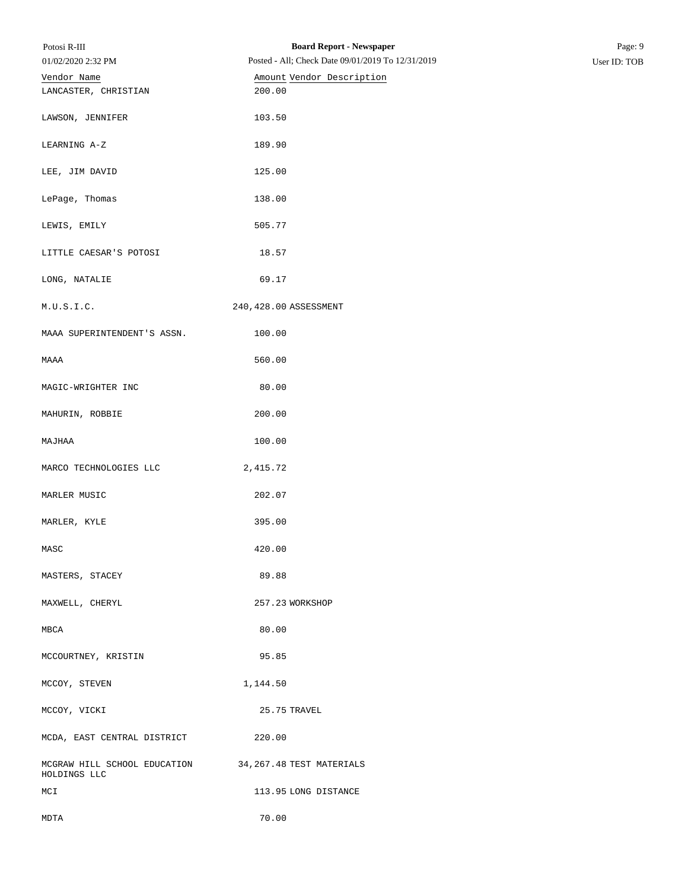| Potosi R-III                                 | <b>Board Report - Newspaper</b>                   | Page: 9      |
|----------------------------------------------|---------------------------------------------------|--------------|
| 01/02/2020 2:32 PM                           | Posted - All; Check Date 09/01/2019 To 12/31/2019 | User ID: TOB |
| Vendor Name                                  | Amount Vendor Description                         |              |
| LANCASTER, CHRISTIAN                         | 200.00                                            |              |
| LAWSON, JENNIFER                             | 103.50                                            |              |
| LEARNING A-Z                                 | 189.90                                            |              |
| LEE, JIM DAVID                               | 125.00                                            |              |
| LePage, Thomas                               | 138.00                                            |              |
| LEWIS, EMILY                                 | 505.77                                            |              |
| LITTLE CAESAR'S POTOSI                       | 18.57                                             |              |
| LONG, NATALIE                                | 69.17                                             |              |
| M.U.S.I.C.                                   | 240, 428.00 ASSESSMENT                            |              |
| MAAA SUPERINTENDENT'S ASSN.                  | 100.00                                            |              |
| MAAA                                         | 560.00                                            |              |
| MAGIC-WRIGHTER INC                           | 80.00                                             |              |
| MAHURIN, ROBBIE                              | 200.00                                            |              |
| MAJHAA                                       | 100.00                                            |              |
| MARCO TECHNOLOGIES LLC                       | 2, 415.72                                         |              |
| MARLER MUSIC                                 | 202.07                                            |              |
| MARLER, KYLE                                 | 395.00                                            |              |
| MASC                                         | 420.00                                            |              |
| MASTERS, STACEY                              | 89.88                                             |              |
| MAXWELL, CHERYL                              | 257.23 WORKSHOP                                   |              |
| MBCA                                         | 80.00                                             |              |
| MCCOURTNEY, KRISTIN                          | 95.85                                             |              |
| MCCOY, STEVEN                                | 1,144.50                                          |              |
| MCCOY, VICKI                                 | 25.75 TRAVEL                                      |              |
| MCDA, EAST CENTRAL DISTRICT                  | 220.00                                            |              |
| MCGRAW HILL SCHOOL EDUCATION<br>HOLDINGS LLC | 34, 267.48 TEST MATERIALS                         |              |
| MCI                                          | 113.95 LONG DISTANCE                              |              |
| MDTA                                         | 70.00                                             |              |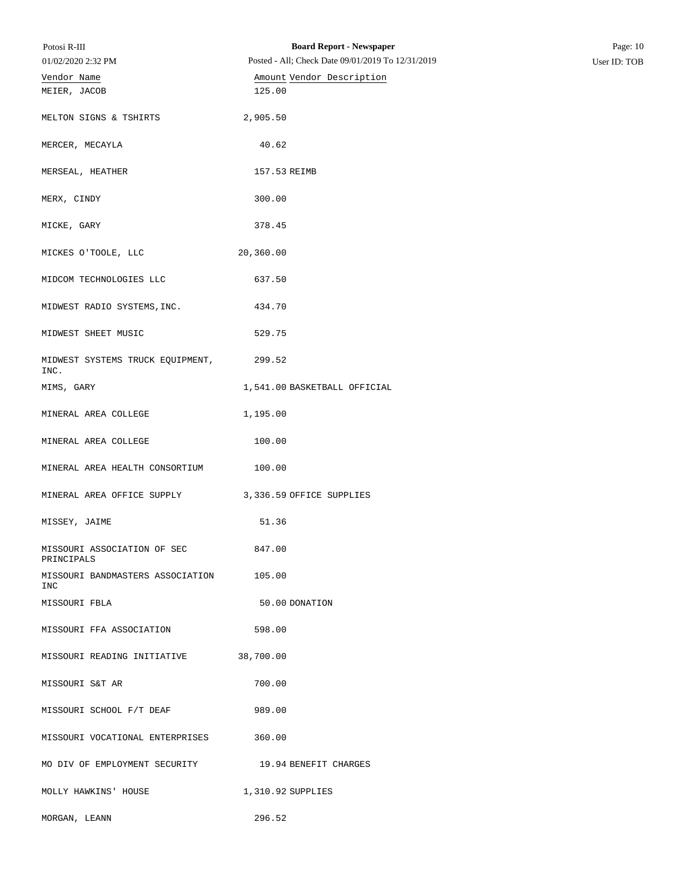| Potosi R-III                     | <b>Board Report - Newspaper</b>                   | Page: 10     |
|----------------------------------|---------------------------------------------------|--------------|
| 01/02/2020 2:32 PM               | Posted - All; Check Date 09/01/2019 To 12/31/2019 | User ID: TOB |
| Vendor Name                      | Amount Vendor Description                         |              |
| MEIER, JACOB                     | 125.00                                            |              |
|                                  |                                                   |              |
| MELTON SIGNS & TSHIRTS           | 2,905.50                                          |              |
|                                  |                                                   |              |
| MERCER, MECAYLA                  | 40.62                                             |              |
|                                  |                                                   |              |
| MERSEAL, HEATHER                 | 157.53 REIMB                                      |              |
|                                  |                                                   |              |
| MERX, CINDY                      | 300.00                                            |              |
|                                  |                                                   |              |
| MICKE, GARY                      | 378.45                                            |              |
|                                  |                                                   |              |
| MICKES O'TOOLE, LLC              | 20,360.00                                         |              |
| MIDCOM TECHNOLOGIES LLC          | 637.50                                            |              |
|                                  |                                                   |              |
| MIDWEST RADIO SYSTEMS, INC.      | 434.70                                            |              |
|                                  |                                                   |              |
| MIDWEST SHEET MUSIC              | 529.75                                            |              |
|                                  |                                                   |              |
| MIDWEST SYSTEMS TRUCK EQUIPMENT, | 299.52                                            |              |
| INC.                             |                                                   |              |
| MIMS, GARY                       | 1,541.00 BASKETBALL OFFICIAL                      |              |
|                                  |                                                   |              |
| MINERAL AREA COLLEGE             | 1,195.00                                          |              |
|                                  |                                                   |              |
| MINERAL AREA COLLEGE             | 100.00                                            |              |
| MINERAL AREA HEALTH CONSORTIUM   |                                                   |              |
|                                  | 100.00                                            |              |
| MINERAL AREA OFFICE SUPPLY       | 3,336.59 OFFICE SUPPLIES                          |              |
|                                  |                                                   |              |
| MISSEY, JAIME                    | 51.36                                             |              |
|                                  |                                                   |              |
| MISSOURI ASSOCIATION OF SEC      | 847.00                                            |              |
| PRINCIPALS                       |                                                   |              |
| MISSOURI BANDMASTERS ASSOCIATION | 105.00                                            |              |
| INC                              |                                                   |              |
| MISSOURI FBLA                    | 50.00 DONATION                                    |              |
|                                  |                                                   |              |
| MISSOURI FFA ASSOCIATION         | 598.00                                            |              |
|                                  |                                                   |              |
| MISSOURI READING INITIATIVE      | 38,700.00                                         |              |
| MISSOURI S&T AR                  | 700.00                                            |              |
|                                  |                                                   |              |
| MISSOURI SCHOOL F/T DEAF         | 989.00                                            |              |
|                                  |                                                   |              |
| MISSOURI VOCATIONAL ENTERPRISES  | 360.00                                            |              |
|                                  |                                                   |              |
| MO DIV OF EMPLOYMENT SECURITY    | 19.94 BENEFIT CHARGES                             |              |
|                                  |                                                   |              |
| MOLLY HAWKINS' HOUSE             | 1,310.92 SUPPLIES                                 |              |
|                                  |                                                   |              |
| MORGAN, LEANN                    | 296.52                                            |              |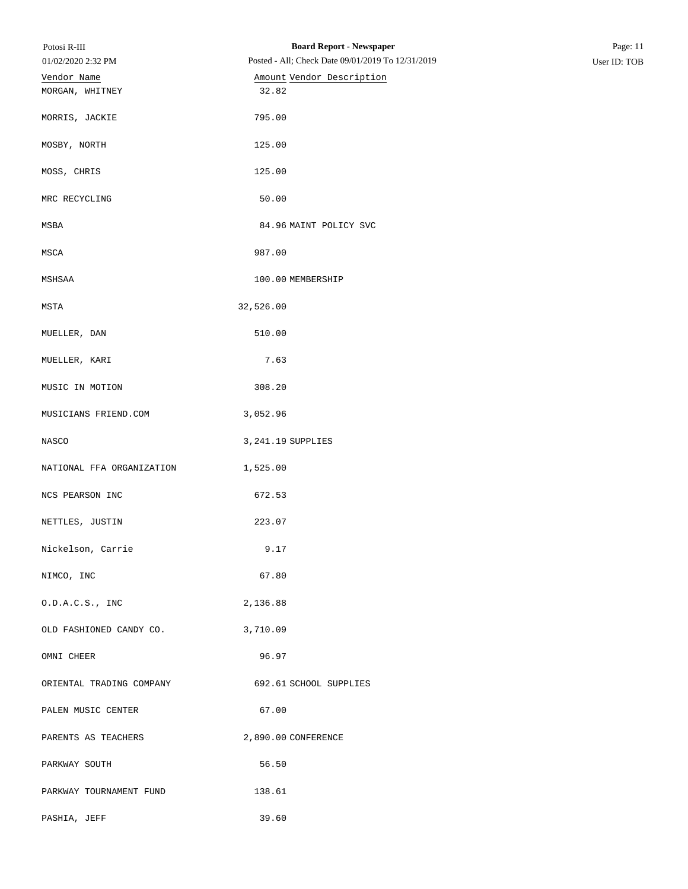| Potosi R-III<br>01/02/2020 2:32 PM | <b>Board Report - Newspaper</b><br>Posted - All; Check Date 09/01/2019 To 12/31/2019 | Page: 11     |
|------------------------------------|--------------------------------------------------------------------------------------|--------------|
| Vendor Name                        | Amount Vendor Description                                                            | User ID: TOB |
| MORGAN, WHITNEY                    | 32.82                                                                                |              |
| MORRIS, JACKIE                     | 795.00                                                                               |              |
| MOSBY, NORTH                       | 125.00                                                                               |              |
| MOSS, CHRIS                        | 125.00                                                                               |              |
| MRC RECYCLING                      | 50.00                                                                                |              |
| MSBA                               | 84.96 MAINT POLICY SVC                                                               |              |
| MSCA                               | 987.00                                                                               |              |
| MSHSAA                             | 100.00 MEMBERSHIP                                                                    |              |
| MSTA                               | 32,526.00                                                                            |              |
| MUELLER, DAN                       | 510.00                                                                               |              |
| MUELLER, KARI                      | 7.63                                                                                 |              |
| MUSIC IN MOTION                    | 308.20                                                                               |              |
| MUSICIANS FRIEND.COM               | 3,052.96                                                                             |              |
| NASCO                              | 3, 241.19 SUPPLIES                                                                   |              |
| NATIONAL FFA ORGANIZATION          | 1,525.00                                                                             |              |
| NCS PEARSON INC                    | 672.53                                                                               |              |
| NETTLES, JUSTIN                    | 223.07                                                                               |              |
| Nickelson, Carrie                  | 9.17                                                                                 |              |
| NIMCO, INC                         | 67.80                                                                                |              |
| 0.D.A.C.S., INC                    | 2,136.88                                                                             |              |
| OLD FASHIONED CANDY CO.            | 3,710.09                                                                             |              |
| OMNI CHEER                         | 96.97                                                                                |              |
| ORIENTAL TRADING COMPANY           | 692.61 SCHOOL SUPPLIES                                                               |              |
| PALEN MUSIC CENTER                 | 67.00                                                                                |              |
| PARENTS AS TEACHERS                | 2,890.00 CONFERENCE                                                                  |              |
| PARKWAY SOUTH                      | 56.50                                                                                |              |
| PARKWAY TOURNAMENT FUND            | 138.61                                                                               |              |
| PASHIA, JEFF                       | 39.60                                                                                |              |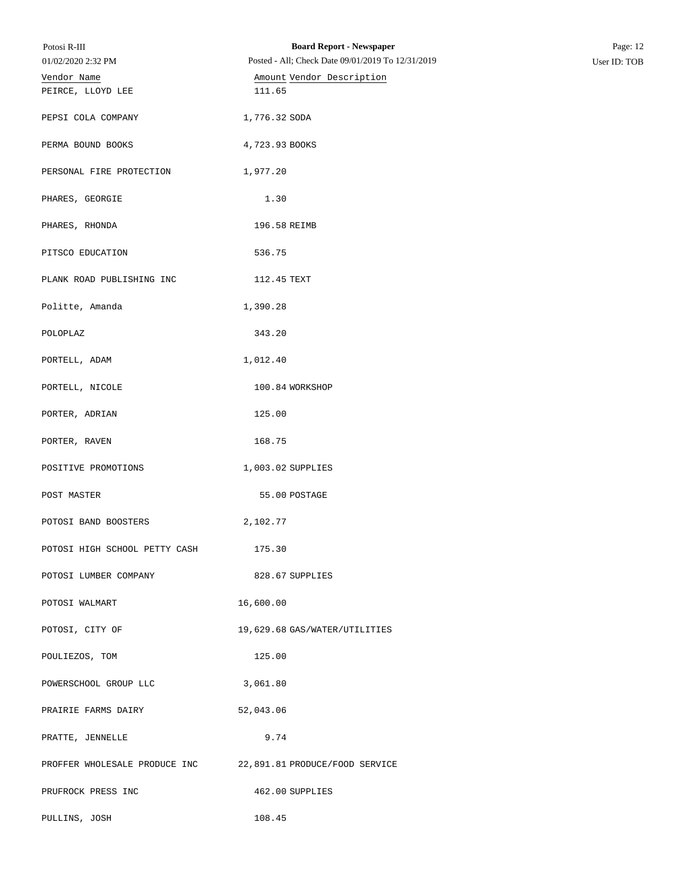| Potosi R-III                  | <b>Board Report - Newspaper</b>                              | Page: 12     |
|-------------------------------|--------------------------------------------------------------|--------------|
| 01/02/2020 2:32 PM            | Posted - All; Check Date 09/01/2019 To 12/31/2019            | User ID: TOB |
| Vendor Name                   | Amount Vendor Description                                    |              |
| PEIRCE, LLOYD LEE             | 111.65                                                       |              |
| PEPSI COLA COMPANY            | 1,776.32 SODA                                                |              |
| PERMA BOUND BOOKS             | 4,723.93 BOOKS                                               |              |
| PERSONAL FIRE PROTECTION      | 1,977.20                                                     |              |
| PHARES, GEORGIE               | 1.30                                                         |              |
| PHARES, RHONDA                | 196.58 REIMB                                                 |              |
| PITSCO EDUCATION              | 536.75                                                       |              |
| PLANK ROAD PUBLISHING INC     | 112.45 TEXT                                                  |              |
| Politte, Amanda               | 1,390.28                                                     |              |
| POLOPLAZ                      | 343.20                                                       |              |
| PORTELL, ADAM                 | 1,012.40                                                     |              |
| PORTELL, NICOLE               | 100.84 WORKSHOP                                              |              |
| PORTER, ADRIAN                | 125.00                                                       |              |
| PORTER, RAVEN                 | 168.75                                                       |              |
| POSITIVE PROMOTIONS           | 1,003.02 SUPPLIES                                            |              |
| POST MASTER                   | 55.00 POSTAGE                                                |              |
| POTOSI BAND BOOSTERS          | 2,102.77                                                     |              |
| POTOSI HIGH SCHOOL PETTY CASH | 175.30                                                       |              |
| POTOSI LUMBER COMPANY         | 828.67 SUPPLIES                                              |              |
| POTOSI WALMART                | 16,600.00                                                    |              |
| POTOSI, CITY OF               | 19,629.68 GAS/WATER/UTILITIES                                |              |
| POULIEZOS, TOM                | 125.00                                                       |              |
| POWERSCHOOL GROUP LLC         | 3,061.80                                                     |              |
| PRAIRIE FARMS DAIRY           | 52,043.06                                                    |              |
| PRATTE, JENNELLE              | 9.74                                                         |              |
|                               | PROFFER WHOLESALE PRODUCE INC 22,891.81 PRODUCE/FOOD SERVICE |              |
| PRUFROCK PRESS INC            | 462.00 SUPPLIES                                              |              |
| PULLINS, JOSH                 | 108.45                                                       |              |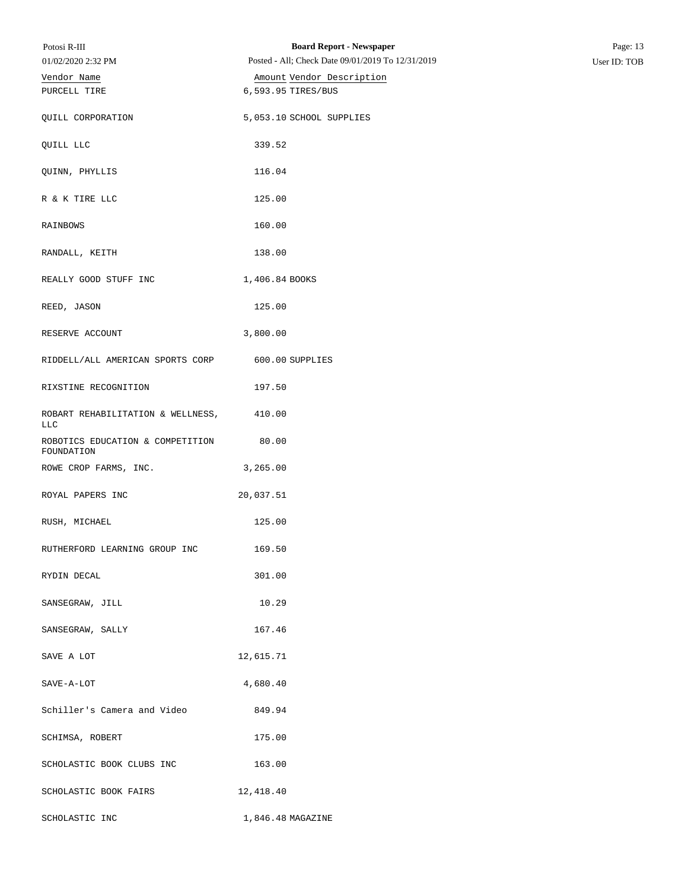| Potosi R-III                                    | <b>Board Report - Newspaper</b>                   | Page: 13     |
|-------------------------------------------------|---------------------------------------------------|--------------|
| 01/02/2020 2:32 PM                              | Posted - All; Check Date 09/01/2019 To 12/31/2019 | User ID: TOB |
| Vendor Name                                     | Amount Vendor Description                         |              |
| PURCELL TIRE                                    | 6,593.95 TIRES/BUS                                |              |
| QUILL CORPORATION                               | 5,053.10 SCHOOL SUPPLIES                          |              |
| QUILL LLC                                       | 339.52                                            |              |
| QUINN, PHYLLIS                                  | 116.04                                            |              |
| R & K TIRE LLC                                  | 125.00                                            |              |
| RAINBOWS                                        | 160.00                                            |              |
| RANDALL, KEITH                                  | 138.00                                            |              |
| REALLY GOOD STUFF INC                           | 1,406.84 BOOKS                                    |              |
| REED, JASON                                     | 125.00                                            |              |
| RESERVE ACCOUNT                                 | 3,800.00                                          |              |
| RIDDELL/ALL AMERICAN SPORTS CORP                | 600.00 SUPPLIES                                   |              |
| RIXSTINE RECOGNITION                            | 197.50                                            |              |
| ROBART REHABILITATION & WELLNESS,<br><b>LLC</b> | 410.00                                            |              |
| ROBOTICS EDUCATION & COMPETITION<br>FOUNDATION  | 80.00                                             |              |
| ROWE CROP FARMS, INC.                           | 3,265.00                                          |              |
| ROYAL PAPERS INC                                | 20,037.51                                         |              |
| RUSH, MICHAEL                                   | 125.00                                            |              |
| RUTHERFORD LEARNING GROUP INC                   | 169.50                                            |              |
| RYDIN DECAL                                     | 301.00                                            |              |
| SANSEGRAW, JILL                                 | 10.29                                             |              |
| SANSEGRAW, SALLY                                | 167.46                                            |              |
| SAVE A LOT                                      | 12,615.71                                         |              |
| SAVE-A-LOT                                      | 4,680.40                                          |              |
| Schiller's Camera and Video                     | 849.94                                            |              |
| SCHIMSA, ROBERT                                 | 175.00                                            |              |
| SCHOLASTIC BOOK CLUBS INC                       | 163.00                                            |              |
| SCHOLASTIC BOOK FAIRS                           | 12,418.40                                         |              |
| SCHOLASTIC INC                                  | 1,846.48 MAGAZINE                                 |              |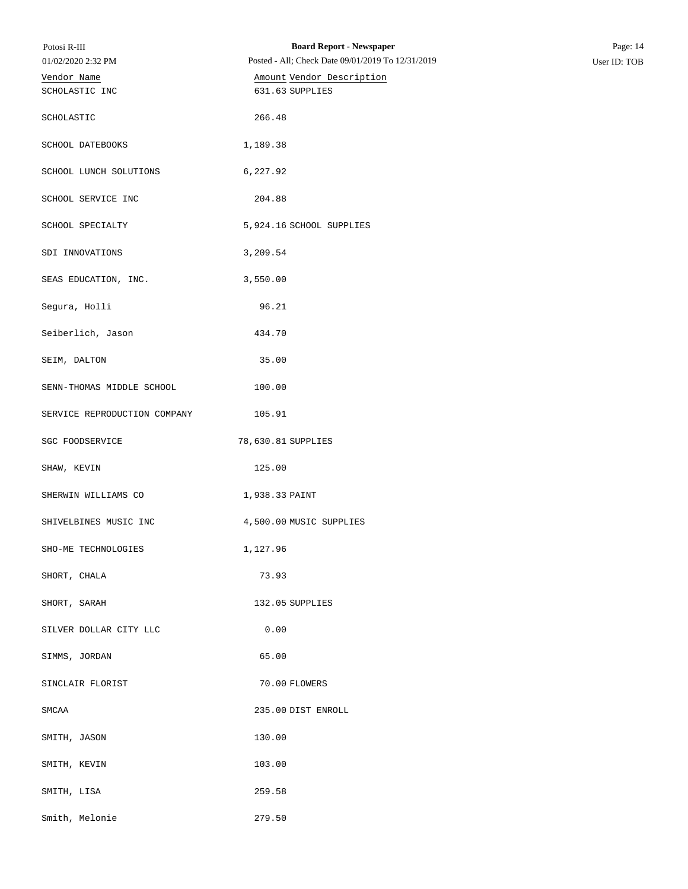| Potosi R-III<br>01/02/2020 2:32 PM | <b>Board Report - Newspaper</b><br>Posted - All; Check Date 09/01/2019 To 12/31/2019 | Page: 14<br>User ID: TOB |
|------------------------------------|--------------------------------------------------------------------------------------|--------------------------|
| Vendor Name<br>SCHOLASTIC INC      | Amount Vendor Description<br>631.63 SUPPLIES                                         |                          |
| SCHOLASTIC                         | 266.48                                                                               |                          |
| SCHOOL DATEBOOKS                   | 1,189.38                                                                             |                          |
| SCHOOL LUNCH SOLUTIONS             | 6,227.92                                                                             |                          |
| SCHOOL SERVICE INC                 | 204.88                                                                               |                          |
| SCHOOL SPECIALTY                   | 5,924.16 SCHOOL SUPPLIES                                                             |                          |
| SDI INNOVATIONS                    | 3,209.54                                                                             |                          |
| SEAS EDUCATION, INC.               | 3,550.00                                                                             |                          |
| Segura, Holli                      | 96.21                                                                                |                          |
| Seiberlich, Jason                  | 434.70                                                                               |                          |
| SEIM, DALTON                       | 35.00                                                                                |                          |
| SENN-THOMAS MIDDLE SCHOOL          | 100.00                                                                               |                          |
| SERVICE REPRODUCTION COMPANY       | 105.91                                                                               |                          |
| SGC FOODSERVICE                    | 78,630.81 SUPPLIES                                                                   |                          |
| SHAW, KEVIN                        | 125.00                                                                               |                          |
| SHERWIN WILLIAMS CO                | 1,938.33 PAINT                                                                       |                          |
| SHIVELBINES MUSIC INC              | 4,500.00 MUSIC SUPPLIES                                                              |                          |
| SHO-ME TECHNOLOGIES                | 1,127.96                                                                             |                          |
| SHORT, CHALA                       | 73.93                                                                                |                          |
| SHORT, SARAH                       | 132.05 SUPPLIES                                                                      |                          |
| SILVER DOLLAR CITY LLC             | 0.00                                                                                 |                          |
| SIMMS, JORDAN                      | 65.00                                                                                |                          |
| SINCLAIR FLORIST                   | 70.00 FLOWERS                                                                        |                          |
| SMCAA                              | 235.00 DIST ENROLL                                                                   |                          |
| SMITH, JASON                       | 130.00                                                                               |                          |
| SMITH, KEVIN                       | 103.00                                                                               |                          |
| SMITH, LISA                        | 259.58                                                                               |                          |
| Smith, Melonie                     | 279.50                                                                               |                          |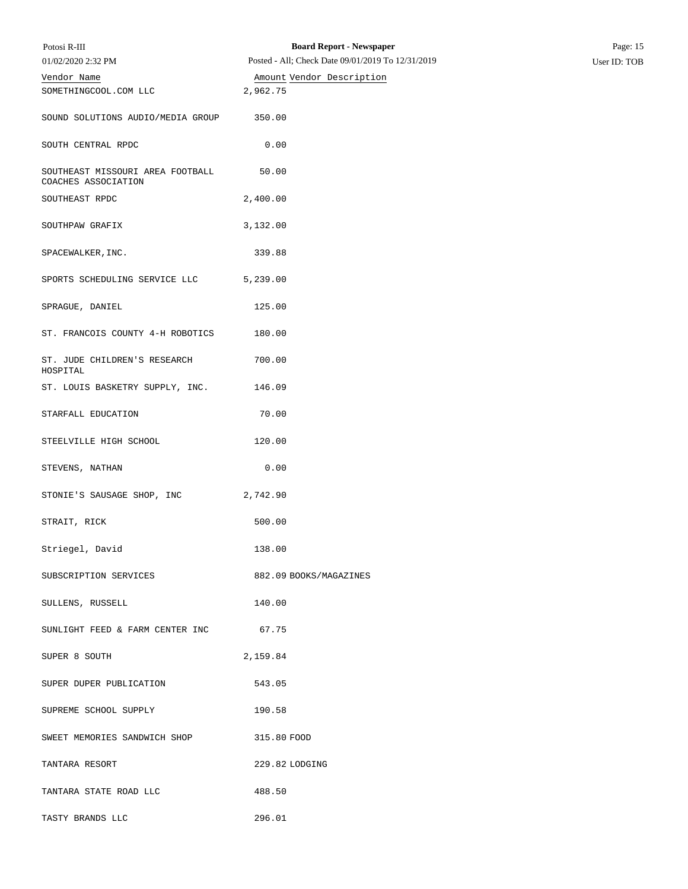| Potosi R-III                                            | <b>Board Report - Newspaper</b>                   | Page: 15     |
|---------------------------------------------------------|---------------------------------------------------|--------------|
| 01/02/2020 2:32 PM                                      | Posted - All; Check Date 09/01/2019 To 12/31/2019 | User ID: TOB |
| Vendor Name                                             | Amount Vendor Description                         |              |
| SOMETHINGCOOL.COM LLC                                   | 2,962.75                                          |              |
| SOUND SOLUTIONS AUDIO/MEDIA GROUP                       | 350.00                                            |              |
| SOUTH CENTRAL RPDC                                      | 0.00                                              |              |
| SOUTHEAST MISSOURI AREA FOOTBALL<br>COACHES ASSOCIATION | 50.00                                             |              |
| SOUTHEAST RPDC                                          | 2,400.00                                          |              |
| SOUTHPAW GRAFIX                                         | 3,132.00                                          |              |
| SPACEWALKER, INC.                                       | 339.88                                            |              |
| SPORTS SCHEDULING SERVICE LLC                           | 5,239.00                                          |              |
| SPRAGUE, DANIEL                                         | 125.00                                            |              |
| ST. FRANCOIS COUNTY 4-H ROBOTICS                        | 180.00                                            |              |
| ST. JUDE CHILDREN'S RESEARCH<br>HOSPITAL                | 700.00                                            |              |
| ST. LOUIS BASKETRY SUPPLY, INC.                         | 146.09                                            |              |
| STARFALL EDUCATION                                      | 70.00                                             |              |
| STEELVILLE HIGH SCHOOL                                  | 120.00                                            |              |
| STEVENS, NATHAN                                         | 0.00                                              |              |
| STONIE'S SAUSAGE SHOP, INC                              | 2,742.90                                          |              |
| STRAIT, RICK                                            | 500.00                                            |              |
| Striegel, David                                         | 138.00                                            |              |
| SUBSCRIPTION SERVICES                                   | 882.09 BOOKS/MAGAZINES                            |              |
| SULLENS, RUSSELL                                        | 140.00                                            |              |
| SUNLIGHT FEED & FARM CENTER INC                         | 67.75                                             |              |
| SUPER 8 SOUTH                                           | 2,159.84                                          |              |
| SUPER DUPER PUBLICATION                                 | 543.05                                            |              |
| SUPREME SCHOOL SUPPLY                                   | 190.58                                            |              |
| SWEET MEMORIES SANDWICH SHOP                            | 315.80 FOOD                                       |              |
| TANTARA RESORT                                          | 229.82 LODGING                                    |              |
| TANTARA STATE ROAD LLC                                  | 488.50                                            |              |
| TASTY BRANDS LLC                                        | 296.01                                            |              |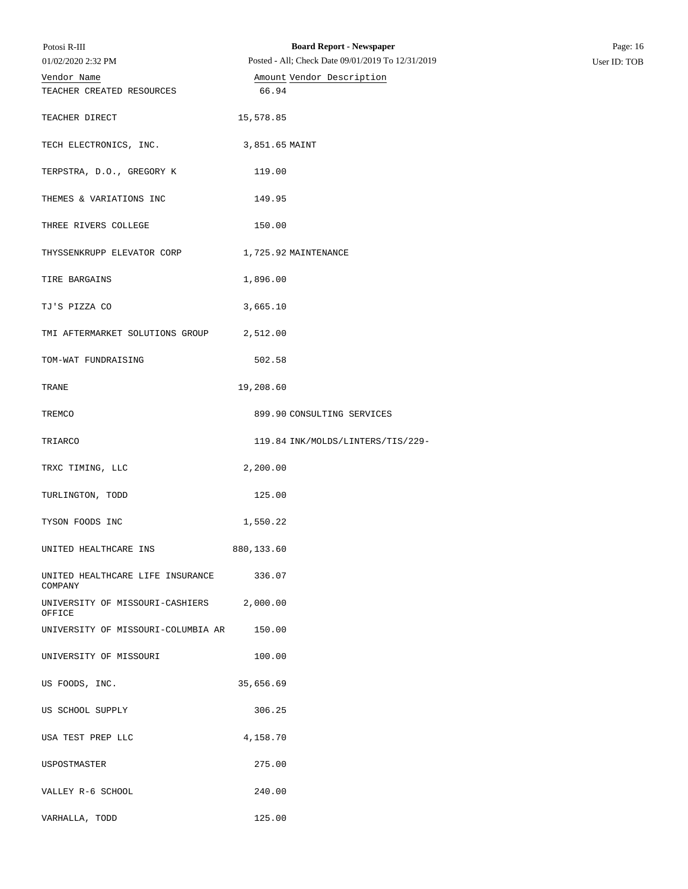| Potosi R-III<br>01/02/2020 2:32 PM                 | <b>Board Report - Newspaper</b><br>Posted - All; Check Date 09/01/2019 To 12/31/2019 | Page: 16<br>User ID: TOB |
|----------------------------------------------------|--------------------------------------------------------------------------------------|--------------------------|
| Vendor Name                                        | Amount Vendor Description                                                            |                          |
| TEACHER CREATED RESOURCES                          | 66.94                                                                                |                          |
| TEACHER DIRECT                                     | 15,578.85                                                                            |                          |
| TECH ELECTRONICS, INC.                             | 3,851.65 MAINT                                                                       |                          |
| TERPSTRA, D.O., GREGORY K                          | 119.00                                                                               |                          |
| THEMES & VARIATIONS INC                            | 149.95                                                                               |                          |
| THREE RIVERS COLLEGE                               | 150.00                                                                               |                          |
| THYSSENKRUPP ELEVATOR CORP 1,725.92 MAINTENANCE    |                                                                                      |                          |
| TIRE BARGAINS                                      | 1,896.00                                                                             |                          |
| TJ'S PIZZA CO                                      | 3,665.10                                                                             |                          |
| TMI AFTERMARKET SOLUTIONS GROUP                    | 2,512.00                                                                             |                          |
| TOM-WAT FUNDRAISING                                | 502.58                                                                               |                          |
| TRANE                                              | 19,208.60                                                                            |                          |
| TREMCO                                             | 899.90 CONSULTING SERVICES                                                           |                          |
| TRIARCO                                            | 119.84 INK/MOLDS/LINTERS/TIS/229-                                                    |                          |
| TRXC TIMING, LLC                                   | 2,200.00                                                                             |                          |
| TURLINGTON, TODD                                   | 125.00                                                                               |                          |
| TYSON FOODS INC                                    | 1,550.22                                                                             |                          |
| UNITED HEALTHCARE INS                              | 880,133.60                                                                           |                          |
| UNITED HEALTHCARE LIFE INSURANCE 336.07<br>COMPANY |                                                                                      |                          |
| UNIVERSITY OF MISSOURI-CASHIERS 2,000.00<br>OFFICE |                                                                                      |                          |
| UNIVERSITY OF MISSOURI-COLUMBIA AR                 | 150.00                                                                               |                          |
| UNIVERSITY OF MISSOURI                             | 100.00                                                                               |                          |
| US FOODS, INC.                                     | 35,656.69                                                                            |                          |
| US SCHOOL SUPPLY                                   | 306.25                                                                               |                          |
| USA TEST PREP LLC                                  | 4,158.70                                                                             |                          |
| USPOSTMASTER                                       | 275.00                                                                               |                          |
| VALLEY R-6 SCHOOL                                  | 240.00                                                                               |                          |
| VARHALLA, TODD                                     | 125.00                                                                               |                          |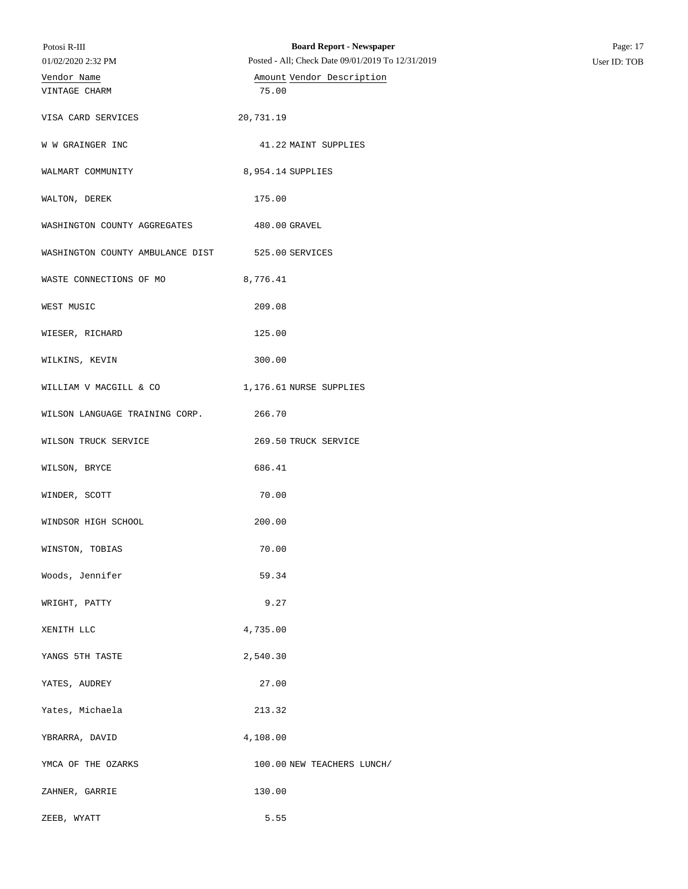| Potosi R-III                     | <b>Board Report - Newspaper</b>                   | Page: 17     |
|----------------------------------|---------------------------------------------------|--------------|
| 01/02/2020 2:32 PM               | Posted - All; Check Date 09/01/2019 To 12/31/2019 | User ID: TOB |
| Vendor Name                      | Amount Vendor Description                         |              |
| VINTAGE CHARM                    | 75.00                                             |              |
| VISA CARD SERVICES               | 20,731.19                                         |              |
| W W GRAINGER INC                 | 41.22 MAINT SUPPLIES                              |              |
| WALMART COMMUNITY                | 8,954.14 SUPPLIES                                 |              |
| WALTON, DEREK                    | 175.00                                            |              |
| WASHINGTON COUNTY AGGREGATES     | 480.00 GRAVEL                                     |              |
| WASHINGTON COUNTY AMBULANCE DIST | 525.00 SERVICES                                   |              |
| WASTE CONNECTIONS OF MO          | 8,776.41                                          |              |
| WEST MUSIC                       | 209.08                                            |              |
| WIESER, RICHARD                  | 125.00                                            |              |
| WILKINS, KEVIN                   | 300.00                                            |              |
| WILLIAM V MACGILL & CO           | 1,176.61 NURSE SUPPLIES                           |              |
| WILSON LANGUAGE TRAINING CORP.   | 266.70                                            |              |
| WILSON TRUCK SERVICE             | 269.50 TRUCK SERVICE                              |              |
| WILSON, BRYCE                    | 686.41                                            |              |
| WINDER, SCOTT                    | 70.00                                             |              |
| WINDSOR HIGH SCHOOL              | 200.00                                            |              |
| WINSTON, TOBIAS                  | 70.00                                             |              |
| Woods, Jennifer                  | 59.34                                             |              |
| WRIGHT, PATTY                    | 9.27                                              |              |
| XENITH LLC                       | 4,735.00                                          |              |
| YANGS 5TH TASTE                  | 2,540.30                                          |              |
| YATES, AUDREY                    | 27.00                                             |              |
| Yates, Michaela                  | 213.32                                            |              |
| YBRARRA, DAVID                   | 4,108.00                                          |              |
| YMCA OF THE OZARKS               | 100.00 NEW TEACHERS LUNCH/                        |              |
| ZAHNER, GARRIE                   | 130.00                                            |              |
| ZEEB, WYATT                      | 5.55                                              |              |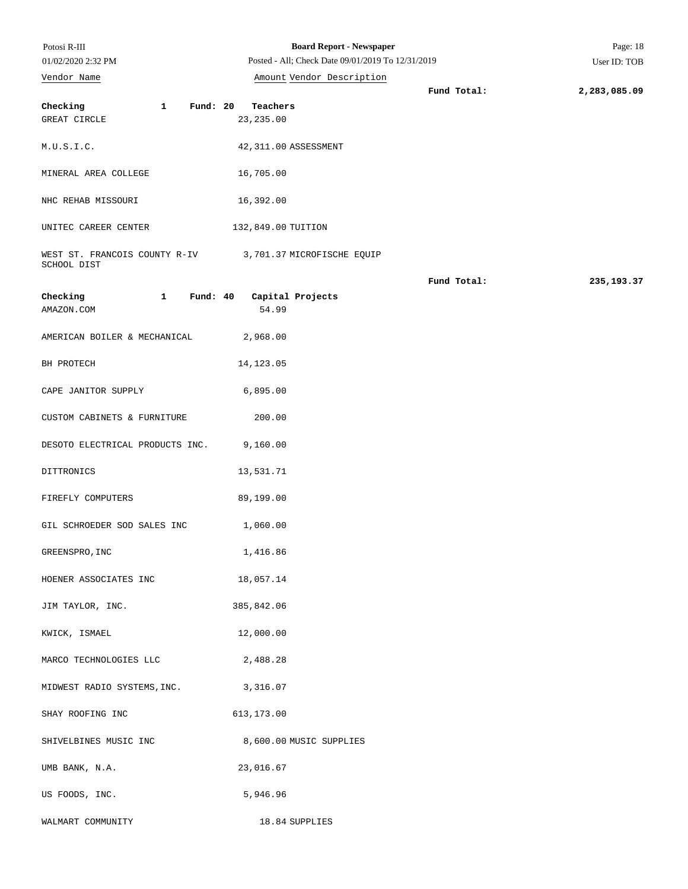| Potosi R-III<br>01/02/2020 2:32 PM                                      | <b>Board Report - Newspaper</b><br>Posted - All; Check Date 09/01/2019 To 12/31/2019 |             | Page: 18<br>User ID: TOB |
|-------------------------------------------------------------------------|--------------------------------------------------------------------------------------|-------------|--------------------------|
| Vendor Name                                                             | Amount Vendor Description                                                            |             |                          |
|                                                                         |                                                                                      | Fund Total: | 2,283,085.09             |
| $\mathbf{1}$<br>Checking<br>Fund: 20                                    | Teachers                                                                             |             |                          |
| GREAT CIRCLE                                                            | 23, 235.00                                                                           |             |                          |
| M.U.S.I.C.                                                              | 42,311.00 ASSESSMENT                                                                 |             |                          |
| MINERAL AREA COLLEGE                                                    | 16,705.00                                                                            |             |                          |
| NHC REHAB MISSOURI                                                      | 16,392.00                                                                            |             |                          |
| UNITEC CAREER CENTER                                                    | 132,849.00 TUITION                                                                   |             |                          |
| WEST ST. FRANCOIS COUNTY R-IV 3,701.37 MICROFISCHE EQUIP<br>SCHOOL DIST |                                                                                      |             |                          |
|                                                                         |                                                                                      | Fund Total: | 235, 193.37              |
| $\mathbf{1}$<br>Checking                                                | Fund: 40 Capital Projects                                                            |             |                          |
| AMAZON.COM                                                              | 54.99                                                                                |             |                          |
| AMERICAN BOILER & MECHANICAL                                            | 2,968.00                                                                             |             |                          |
| BH PROTECH                                                              | 14, 123.05                                                                           |             |                          |
| CAPE JANITOR SUPPLY                                                     | 6,895.00                                                                             |             |                          |
| CUSTOM CABINETS & FURNITURE                                             | 200.00                                                                               |             |                          |
| DESOTO ELECTRICAL PRODUCTS INC.                                         | 9,160.00                                                                             |             |                          |
| DITTRONICS                                                              | 13,531.71                                                                            |             |                          |
| FIREFLY COMPUTERS                                                       | 89,199.00                                                                            |             |                          |
| GIL SCHROEDER SOD SALES INC                                             | 1,060.00                                                                             |             |                          |
| GREENSPRO, INC                                                          | 1,416.86                                                                             |             |                          |
| HOENER ASSOCIATES INC                                                   | 18,057.14                                                                            |             |                          |
| JIM TAYLOR, INC.                                                        | 385,842.06                                                                           |             |                          |
| KWICK, ISMAEL                                                           | 12,000.00                                                                            |             |                          |
| MARCO TECHNOLOGIES LLC                                                  | 2,488.28                                                                             |             |                          |
| MIDWEST RADIO SYSTEMS, INC.                                             | 3,316.07                                                                             |             |                          |
| SHAY ROOFING INC                                                        | 613,173.00                                                                           |             |                          |
| SHIVELBINES MUSIC INC                                                   | 8,600.00 MUSIC SUPPLIES                                                              |             |                          |
| UMB BANK, N.A.                                                          | 23,016.67                                                                            |             |                          |
| US FOODS, INC.                                                          | 5,946.96                                                                             |             |                          |
| WALMART COMMUNITY                                                       | 18.84 SUPPLIES                                                                       |             |                          |